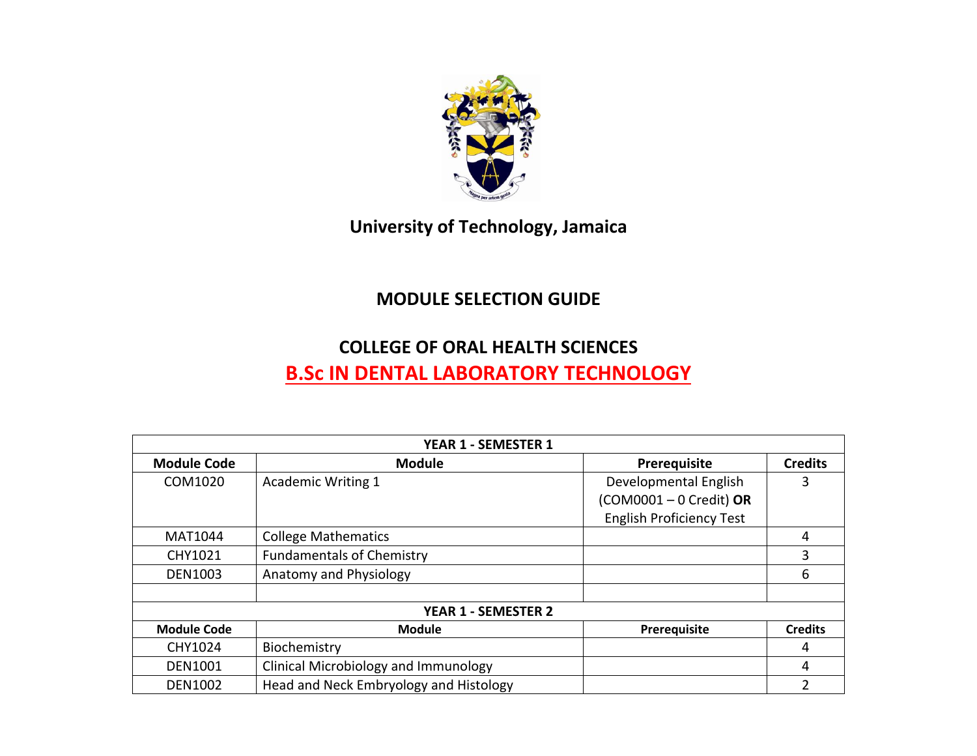

## **University of Technology, Jamaica**

## **MODULE SELECTION GUIDE**

## **COLLEGE OF ORAL HEALTH SCIENCES**

## **B.Sc IN DENTAL LABORATORY TECHNOLOGY**

| YEAR 1 - SEMESTER 1        |                                        |                                 |                |  |  |
|----------------------------|----------------------------------------|---------------------------------|----------------|--|--|
| <b>Module Code</b>         | <b>Module</b>                          | Prerequisite                    | <b>Credits</b> |  |  |
| COM1020                    | <b>Academic Writing 1</b>              | Developmental English           | 3              |  |  |
|                            |                                        | $(COM0001 - 0 Credit)$ OR       |                |  |  |
|                            |                                        | <b>English Proficiency Test</b> |                |  |  |
| MAT1044                    | <b>College Mathematics</b>             |                                 | 4              |  |  |
| CHY1021                    | <b>Fundamentals of Chemistry</b>       |                                 | 3              |  |  |
| <b>DEN1003</b>             | Anatomy and Physiology                 |                                 | 6              |  |  |
|                            |                                        |                                 |                |  |  |
| <b>YEAR 1 - SEMESTER 2</b> |                                        |                                 |                |  |  |
| <b>Module Code</b>         | <b>Module</b>                          | Prerequisite                    | <b>Credits</b> |  |  |
| CHY1024                    | Biochemistry                           |                                 | 4              |  |  |
| <b>DEN1001</b>             | Clinical Microbiology and Immunology   |                                 | 4              |  |  |
| <b>DEN1002</b>             | Head and Neck Embryology and Histology |                                 | 2              |  |  |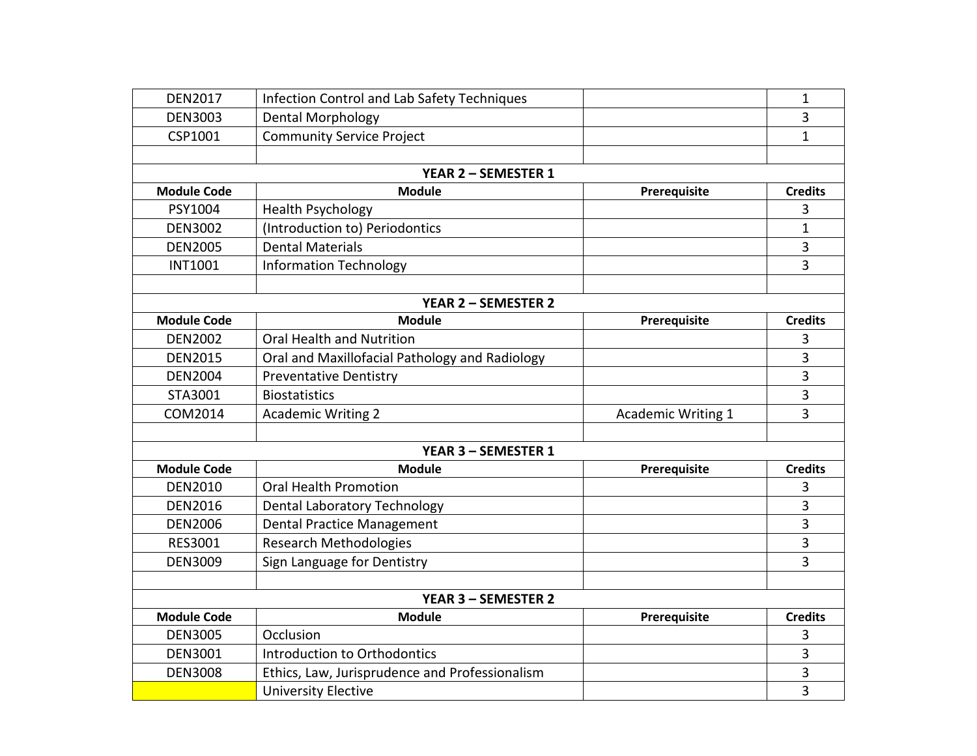| <b>DEN2017</b>             | Infection Control and Lab Safety Techniques    |                           | $\mathbf{1}$   |  |  |  |
|----------------------------|------------------------------------------------|---------------------------|----------------|--|--|--|
| <b>DEN3003</b>             | Dental Morphology                              |                           | 3              |  |  |  |
| CSP1001                    | <b>Community Service Project</b>               |                           | $\mathbf{1}$   |  |  |  |
|                            |                                                |                           |                |  |  |  |
| YEAR 2 - SEMESTER 1        |                                                |                           |                |  |  |  |
| <b>Module Code</b>         | <b>Module</b>                                  | Prerequisite              | <b>Credits</b> |  |  |  |
| PSY1004                    | <b>Health Psychology</b>                       |                           | 3              |  |  |  |
| <b>DEN3002</b>             | (Introduction to) Periodontics                 |                           | $\mathbf{1}$   |  |  |  |
| <b>DEN2005</b>             | <b>Dental Materials</b>                        |                           | 3              |  |  |  |
| <b>INT1001</b>             | <b>Information Technology</b>                  |                           | $\overline{3}$ |  |  |  |
|                            |                                                |                           |                |  |  |  |
| <b>YEAR 2 - SEMESTER 2</b> |                                                |                           |                |  |  |  |
| <b>Module Code</b>         | <b>Module</b>                                  | Prerequisite              | <b>Credits</b> |  |  |  |
| <b>DEN2002</b>             | Oral Health and Nutrition                      |                           | 3              |  |  |  |
| <b>DEN2015</b>             | Oral and Maxillofacial Pathology and Radiology |                           | 3              |  |  |  |
| <b>DEN2004</b>             | <b>Preventative Dentistry</b>                  |                           | $\overline{3}$ |  |  |  |
| STA3001                    | <b>Biostatistics</b>                           |                           | 3              |  |  |  |
| COM2014                    | <b>Academic Writing 2</b>                      | <b>Academic Writing 1</b> | 3              |  |  |  |
|                            |                                                |                           |                |  |  |  |
|                            | YEAR 3 - SEMESTER 1                            |                           |                |  |  |  |
| <b>Module Code</b>         | <b>Module</b>                                  | Prerequisite              | <b>Credits</b> |  |  |  |
| <b>DEN2010</b>             | <b>Oral Health Promotion</b>                   |                           | 3              |  |  |  |
| <b>DEN2016</b>             | <b>Dental Laboratory Technology</b>            |                           | 3              |  |  |  |
| <b>DEN2006</b>             | <b>Dental Practice Management</b>              |                           | 3              |  |  |  |
| RES3001                    | <b>Research Methodologies</b>                  |                           | 3              |  |  |  |
| <b>DEN3009</b>             | Sign Language for Dentistry                    |                           | 3              |  |  |  |
|                            |                                                |                           |                |  |  |  |
| <b>YEAR 3 - SEMESTER 2</b> |                                                |                           |                |  |  |  |
| <b>Module Code</b>         | <b>Module</b>                                  | Prerequisite              | <b>Credits</b> |  |  |  |
| <b>DEN3005</b>             | Occlusion                                      |                           | 3              |  |  |  |
| <b>DEN3001</b>             | Introduction to Orthodontics                   |                           | 3              |  |  |  |
| <b>DEN3008</b>             | Ethics, Law, Jurisprudence and Professionalism |                           | 3              |  |  |  |
|                            | <b>University Elective</b>                     |                           | 3              |  |  |  |